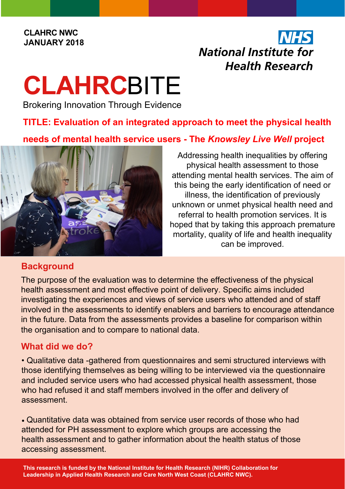#### **CLAHRC NWC JANUARY 2018**

# **NHS National Institute for Health Research**

# **CLAHRC**BITE

Brokering Innovation Through Evidence

## **TITLE: Evaluation of an integrated approach to meet the physical health**

### **needs of mental health service users - The** *Knowsley Live Well* **project**



Addressing health inequalities by offering physical health assessment to those attending mental health services. The aim of this being the early identification of need or illness, the identification of previously unknown or unmet physical health need and referral to health promotion services. It is hoped that by taking this approach premature mortality, quality of life and health inequality can be improved.

#### **Background**

The purpose of the evaluation was to determine the effectiveness of the physical health assessment and most effective point of delivery. Specific aims included investigating the experiences and views of service users who attended and of staff involved in the assessments to identify enablers and barriers to encourage attendance in the future. Data from the assessments provides a baseline for comparison within the organisation and to compare to national data.

#### **What did we do?**

• Qualitative data -gathered from questionnaires and semi structured interviews with those identifying themselves as being willing to be interviewed via the questionnaire and included service users who had accessed physical health assessment, those who had refused it and staff members involved in the offer and delivery of assessment.

• Quantitative data was obtained from service user records of those who had attended for PH assessment to explore which groups are accessing the health assessment and to gather information about the health status of those accessing assessment.